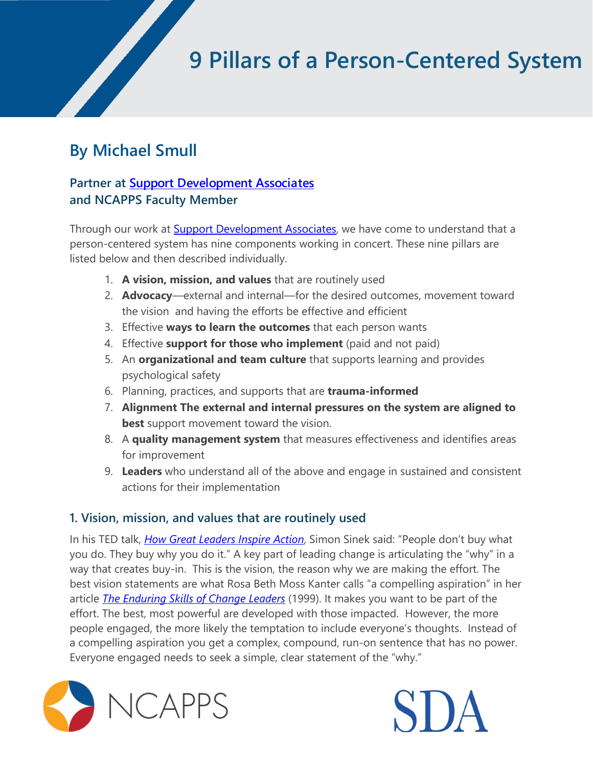# **9 Pillars of a Person-Centered System**

# **By Michael Smull**

# **Partner at [Support Development Associates](https://www.sdaus.com/)  and NCAPPS Faculty Member**

Through our work at [Support Development Associates,](https://www.sdaus.com/) we have come to understand that a person-centered system has nine components working in concert. These nine pillars are listed below and then described individually.

- 1. **A vision, mission, and values** that are routinely used
- 2. **Advocacy**—external and internal—for the desired outcomes, movement toward the vision and having the efforts be effective and efficient
- 3. Effective **ways to learn the outcomes** that each person wants
- 4. Effective **support for those who implement** (paid and not paid)
- 5. An **organizational and team culture** that supports learning and provides psychological safety
- 6. Planning, practices, and supports that are **trauma-informed**
- 7. **Alignment The external and internal pressures on the system are aligned to best** support movement toward the vision.
- 8. A **quality management system** that measures effectiveness and identifies areas for improvement
- 9. **Leaders** who understand all of the above and engage in sustained and consistent actions for their implementation

#### **1. Vision, mission, and values that are routinely used**

In his TED talk, *[How Great Leaders Inspire Action](https://www.ted.com/talks/simon_sinek_how_great_leaders_inspire_action?language=en)*, Simon Sinek said: "People don't buy what you do. They buy why you do it." A key part of leading change is articulating the "why" in a way that creates buy-in. This is the vision, the reason why we are making the effort. The best vision statements are what Rosa Beth Moss Kanter calls "a compelling aspiration" in her article *[The Enduring Skills of Change Leaders](https://journals.sagepub.com/doi/pdf/10.1177/0974173920070511S)* (1999). It makes you want to be part of the effort. The best, most powerful are developed with those impacted. However, the more people engaged, the more likely the temptation to include everyone's thoughts. Instead of a compelling aspiration you get a complex, compound, run-on sentence that has no power. Everyone engaged needs to seek a simple, clear statement of the "why."



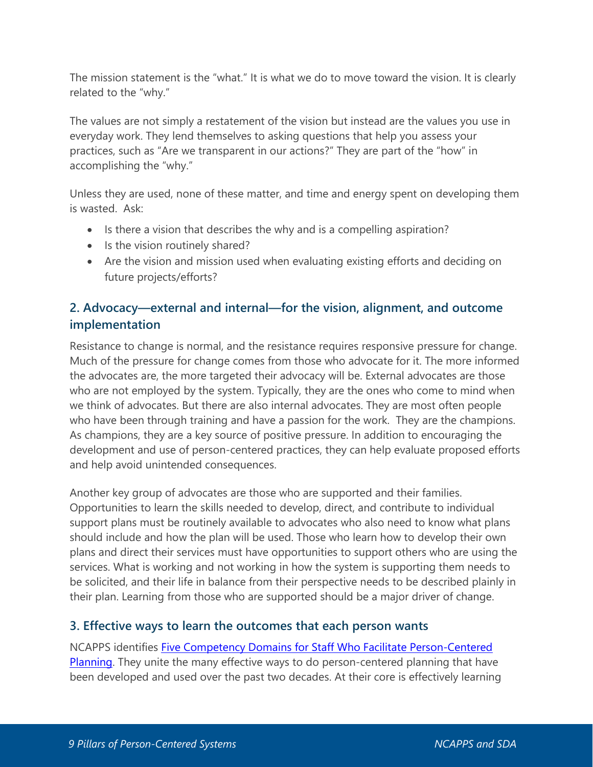The mission statement is the "what." It is what we do to move toward the vision. It is clearly related to the "why."

The values are not simply a restatement of the vision but instead are the values you use in everyday work. They lend themselves to asking questions that help you assess your practices, such as "Are we transparent in our actions?" They are part of the "how" in accomplishing the "why."

Unless they are used, none of these matter, and time and energy spent on developing them is wasted. Ask:

- Is there a vision that describes the why and is a compelling aspiration?
- Is the vision routinely shared?
- Are the vision and mission used when evaluating existing efforts and deciding on future projects/efforts?

## **2. Advocacy—external and internal—for the vision, alignment, and outcome implementation**

Resistance to change is normal, and the resistance requires responsive pressure for change. Much of the pressure for change comes from those who advocate for it. The more informed the advocates are, the more targeted their advocacy will be. External advocates are those who are not employed by the system. Typically, they are the ones who come to mind when we think of advocates. But there are also internal advocates. They are most often people who have been through training and have a passion for the work. They are the champions. As champions, they are a key source of positive pressure. In addition to encouraging the development and use of person-centered practices, they can help evaluate proposed efforts and help avoid unintended consequences.

Another key group of advocates are those who are supported and their families. Opportunities to learn the skills needed to develop, direct, and contribute to individual support plans must be routinely available to advocates who also need to know what plans should include and how the plan will be used. Those who learn how to develop their own plans and direct their services must have opportunities to support others who are using the services. What is working and not working in how the system is supporting them needs to be solicited, and their life in balance from their perspective needs to be described plainly in their plan. Learning from those who are supported should be a major driver of change.

#### **3. Effective ways to learn the outcomes that each person wants**

NCAPPS identifies [Five Competency Domains for Staff Who Facilitate Person-Centered](https://ncapps.acl.gov/docs/NCAPPS_StaffCompetencyDomains_201028_final.pdf)  [Planning.](https://ncapps.acl.gov/docs/NCAPPS_StaffCompetencyDomains_201028_final.pdf) They unite the many effective ways to do person-centered planning that have been developed and used over the past two decades. At their core is effectively learning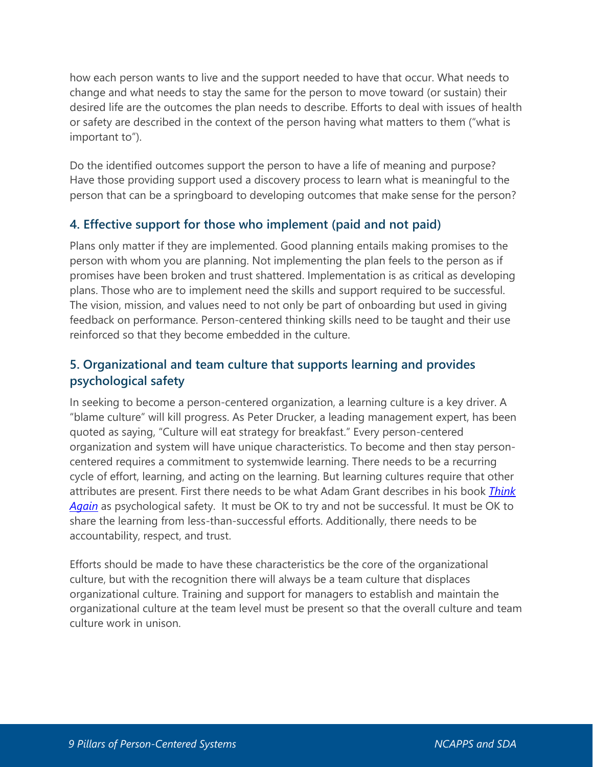how each person wants to live and the support needed to have that occur. What needs to change and what needs to stay the same for the person to move toward (or sustain) their desired life are the outcomes the plan needs to describe. Efforts to deal with issues of health or safety are described in the context of the person having what matters to them ("what is important to").

Do the identified outcomes support the person to have a life of meaning and purpose? Have those providing support used a discovery process to learn what is meaningful to the person that can be a springboard to developing outcomes that make sense for the person?

#### **4. Effective support for those who implement (paid and not paid)**

Plans only matter if they are implemented. Good planning entails making promises to the person with whom you are planning. Not implementing the plan feels to the person as if promises have been broken and trust shattered. Implementation is as critical as developing plans. Those who are to implement need the skills and support required to be successful. The vision, mission, and values need to not only be part of onboarding but used in giving feedback on performance. Person-centered thinking skills need to be taught and their use reinforced so that they become embedded in the culture.

# **5. Organizational and team culture that supports learning and provides psychological safety**

In seeking to become a person-centered organization, a learning culture is a key driver. A "blame culture" will kill progress. As Peter Drucker, a leading management expert, has been quoted as saying, "Culture will eat strategy for breakfast." Every person-centered organization and system will have unique characteristics. To become and then stay personcentered requires a commitment to systemwide learning. There needs to be a recurring cycle of effort, learning, and acting on the learning. But learning cultures require that other attributes are present. First there needs to be what Adam Grant describes in his book *[Think](https://www.adamgrant.net/book/think-again/)  [Again](https://www.adamgrant.net/book/think-again/)* as psychological safety. It must be OK to try and not be successful. It must be OK to share the learning from less-than-successful efforts. Additionally, there needs to be accountability, respect, and trust.

Efforts should be made to have these characteristics be the core of the organizational culture, but with the recognition there will always be a team culture that displaces organizational culture. Training and support for managers to establish and maintain the organizational culture at the team level must be present so that the overall culture and team culture work in unison.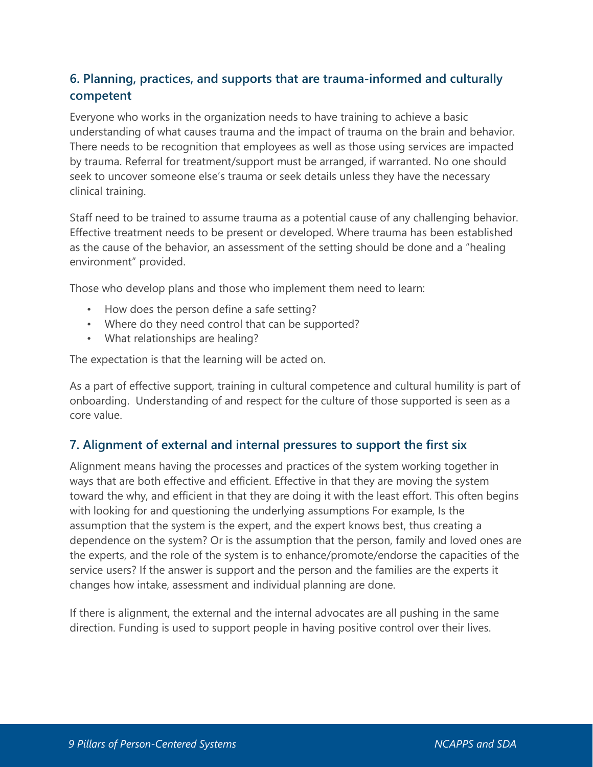# **6. Planning, practices, and supports that are trauma-informed and culturally competent**

Everyone who works in the organization needs to have training to achieve a basic understanding of what causes trauma and the impact of trauma on the brain and behavior. There needs to be recognition that employees as well as those using services are impacted by trauma. Referral for treatment/support must be arranged, if warranted. No one should seek to uncover someone else's trauma or seek details unless they have the necessary clinical training.

Staff need to be trained to assume trauma as a potential cause of any challenging behavior. Effective treatment needs to be present or developed. Where trauma has been established as the cause of the behavior, an assessment of the setting should be done and a "healing environment" provided.

Those who develop plans and those who implement them need to learn:

- How does the person define a safe setting?
- Where do they need control that can be supported?
- What relationships are healing?

The expectation is that the learning will be acted on.

As a part of effective support, training in cultural competence and cultural humility is part of onboarding. Understanding of and respect for the culture of those supported is seen as a core value.

#### **7. Alignment of external and internal pressures to support the first six**

Alignment means having the processes and practices of the system working together in ways that are both effective and efficient. Effective in that they are moving the system toward the why, and efficient in that they are doing it with the least effort. This often begins with looking for and questioning the underlying assumptions For example, Is the assumption that the system is the expert, and the expert knows best, thus creating a dependence on the system? Or is the assumption that the person, family and loved ones are the experts, and the role of the system is to enhance/promote/endorse the capacities of the service users? If the answer is support and the person and the families are the experts it changes how intake, assessment and individual planning are done.

If there is alignment, the external and the internal advocates are all pushing in the same direction. Funding is used to support people in having positive control over their lives.